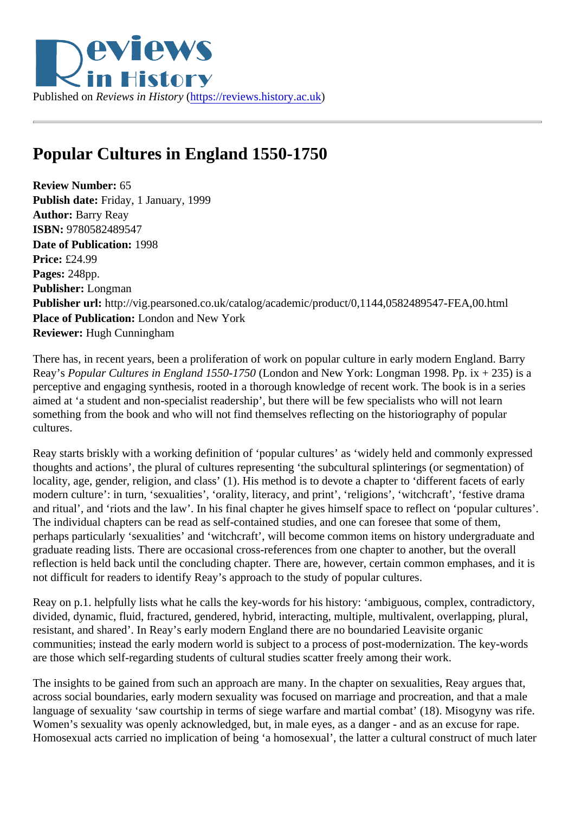## Popular Cultures in England 1550-1750

Review Number: 65 Publish date: Friday, 1 January, 1999 Author: Barry Reay ISBN: 9780582489547 Date of Publication: 1998 Price: £24.99 Pages: 248pp. Publisher: Longman Publisher url: http://vig.pearsoned.co.uk/catalog/academic/product/0,1144,0582489547-FEA,00.html Place of Publication: London and New York Reviewer: Hugh Cunningham

There has, in recent years, been a proliferation of work on popular culture in early modern England. Barry Reay's Popular Cultures in England 1550-1750 (Dondon and New York: Longman 1998. Pp. ix + 235) is a perceptive and engaging synthesis, rooted in a thorough knowledge of recent work. The book is in a series aimed at 'a student and non-specialist readership', but there will be few specialists who will not learn something from the book and who will not find themselves reflecting on the historiography of popular cultures.

Reay starts briskly with a working definition of 'popular cultures' as 'widely held and commonly expressed thoughts and actions', the plural of cultures representing 'the subcultural splinterings (or segmentation) of locality, age, gender, religion, and class' (1). His method is to devote a chapter to 'different facets of early modern culture': in turn, 'sexualities', 'orality, literacy, and print', 'religions', 'witchcraft', 'festive drama and ritual', and 'riots and the law'. In his final chapter he gives himself space to reflect on 'popular cultures The individual chapters can be read as self-contained studies, and one can foresee that some of them, perhaps particularly 'sexualities' and 'witchcraft', will become common items on history undergraduate and graduate reading lists. There are occasional cross-references from one chapter to another, but the overall reflection is held back until the concluding chapter. There are, however, certain common emphases, and it not difficult for readers to identify Reay's approach to the study of popular cultures.

Reay on p.1. helpfully lists what he calls the key-words for his history: 'ambiguous, complex, contradictory, divided, dynamic, fluid, fractured, gendered, hybrid, interacting, multiple, multivalent, overlapping, plural, resistant, and shared'. In Reay's early modern England there are no boundaried Leavisite organic communities; instead the early modern world is subject to a process of post-modernization. The key-words are those which self-regarding students of cultural studies scatter freely among their work.

The insights to be gained from such an approach are many. In the chapter on sexualities, Reay argues that across social boundaries, early modern sexuality was focused on marriage and procreation, and that a ma language of sexuality 'saw courtship in terms of siege warfare and martial combat' (18). Misogyny was rife Women's sexuality was openly acknowledged, but, in male eyes, as a danger - and as an excuse for rape. Homosexual acts carried no implication of being 'a homosexual', the latter a cultural construct of much late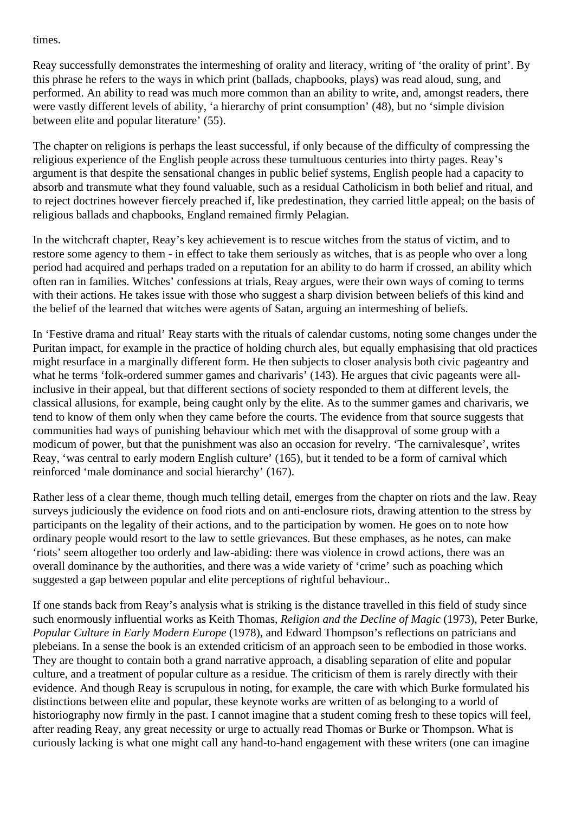times.

Reay successfully demonstrates the intermeshing of orality and literacy, writing of 'the orality of print'. By this phrase he refers to the ways in which print (ballads, chapbooks, plays) was read aloud, sung, and performed. An ability to read was much more common than an ability to write, and, amongst readers, there were vastly different levels of ability, 'a hierarchy of print consumption' (48), but no 'simple division between elite and popular literature' (55).

The chapter on religions is perhaps the least successful, if only because of the difficulty of compressing the religious experience of the English people across these tumultuous centuries into thirty pages. Reay's argument is that despite the sensational changes in public belief systems, English people had a capacity to absorb and transmute what they found valuable, such as a residual Catholicism in both belief and ritual, and to reject doctrines however fiercely preached if, like predestination, they carried little appeal; on the basis of religious ballads and chapbooks, England remained firmly Pelagian.

In the witchcraft chapter, Reay's key achievement is to rescue witches from the status of victim, and to restore some agency to them - in effect to take them seriously as witches, that is as people who over a long period had acquired and perhaps traded on a reputation for an ability to do harm if crossed, an ability which often ran in families. Witches' confessions at trials, Reay argues, were their own ways of coming to terms with their actions. He takes issue with those who suggest a sharp division between beliefs of this kind and the belief of the learned that witches were agents of Satan, arguing an intermeshing of beliefs.

In 'Festive drama and ritual' Reay starts with the rituals of calendar customs, noting some changes under the Puritan impact, for example in the practice of holding church ales, but equally emphasising that old practices might resurface in a marginally different form. He then subjects to closer analysis both civic pageantry and what he terms 'folk-ordered summer games and charivaris' (143). He argues that civic pageants were allinclusive in their appeal, but that different sections of society responded to them at different levels, the classical allusions, for example, being caught only by the elite. As to the summer games and charivaris, we tend to know of them only when they came before the courts. The evidence from that source suggests that communities had ways of punishing behaviour which met with the disapproval of some group with a modicum of power, but that the punishment was also an occasion for revelry. 'The carnivalesque', writes Reay, 'was central to early modern English culture' (165), but it tended to be a form of carnival which reinforced 'male dominance and social hierarchy' (167).

Rather less of a clear theme, though much telling detail, emerges from the chapter on riots and the law. Reay surveys judiciously the evidence on food riots and on anti-enclosure riots, drawing attention to the stress by participants on the legality of their actions, and to the participation by women. He goes on to note how ordinary people would resort to the law to settle grievances. But these emphases, as he notes, can make 'riots' seem altogether too orderly and law-abiding: there was violence in crowd actions, there was an overall dominance by the authorities, and there was a wide variety of 'crime' such as poaching which suggested a gap between popular and elite perceptions of rightful behaviour..

If one stands back from Reay's analysis what is striking is the distance travelled in this field of study since such enormously influential works as Keith Thomas, *Religion and the Decline of Magic* (1973), Peter Burke, *Popular Culture in Early Modern Europe* (1978)*,* and Edward Thompson's reflections on patricians and plebeians. In a sense the book is an extended criticism of an approach seen to be embodied in those works. They are thought to contain both a grand narrative approach, a disabling separation of elite and popular culture, and a treatment of popular culture as a residue. The criticism of them is rarely directly with their evidence. And though Reay is scrupulous in noting, for example, the care with which Burke formulated his distinctions between elite and popular, these keynote works are written of as belonging to a world of historiography now firmly in the past. I cannot imagine that a student coming fresh to these topics will feel, after reading Reay, any great necessity or urge to actually read Thomas or Burke or Thompson. What is curiously lacking is what one might call any hand-to-hand engagement with these writers (one can imagine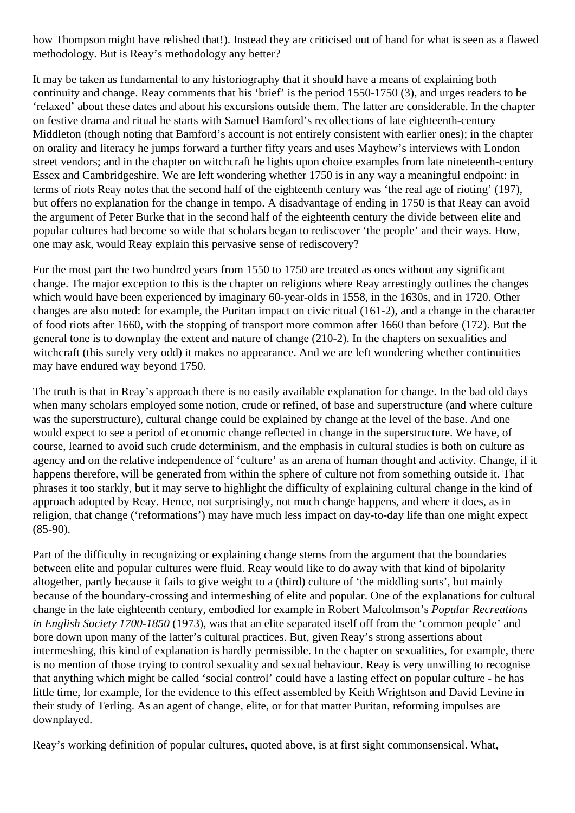how Thompson might have relished that!). Instead they are criticised out of hand for what is seen as a flawed methodology. But is Reay's methodology any better?

It may be taken as fundamental to any historiography that it should have a means of explaining both continuity and change. Reay comments that his 'brief' is the period 1550-1750 (3), and urges readers to be 'relaxed' about these dates and about his excursions outside them. The latter are considerable. In the chapter on festive drama and ritual he starts with Samuel Bamford's recollections of late eighteenth-century Middleton (though noting that Bamford's account is not entirely consistent with earlier ones); in the chapter on orality and literacy he jumps forward a further fifty years and uses Mayhew's interviews with London street vendors; and in the chapter on witchcraft he lights upon choice examples from late nineteenth-century Essex and Cambridgeshire. We are left wondering whether 1750 is in any way a meaningful endpoint: in terms of riots Reay notes that the second half of the eighteenth century was 'the real age of rioting' (197), but offers no explanation for the change in tempo. A disadvantage of ending in 1750 is that Reay can avoid the argument of Peter Burke that in the second half of the eighteenth century the divide between elite and popular cultures had become so wide that scholars began to rediscover 'the people' and their ways. How, one may ask, would Reay explain this pervasive sense of rediscovery?

For the most part the two hundred years from 1550 to 1750 are treated as ones without any significant change. The major exception to this is the chapter on religions where Reay arrestingly outlines the changes which would have been experienced by imaginary 60-year-olds in 1558, in the 1630s, and in 1720. Other changes are also noted: for example, the Puritan impact on civic ritual (161-2), and a change in the character of food riots after 1660, with the stopping of transport more common after 1660 than before (172). But the general tone is to downplay the extent and nature of change (210-2). In the chapters on sexualities and witchcraft (this surely very odd) it makes no appearance. And we are left wondering whether continuities may have endured way beyond 1750.

The truth is that in Reay's approach there is no easily available explanation for change. In the bad old days when many scholars employed some notion, crude or refined, of base and superstructure (and where culture was the superstructure), cultural change could be explained by change at the level of the base. And one would expect to see a period of economic change reflected in change in the superstructure. We have, of course, learned to avoid such crude determinism, and the emphasis in cultural studies is both on culture as agency and on the relative independence of 'culture' as an arena of human thought and activity. Change, if it happens therefore, will be generated from within the sphere of culture not from something outside it. That phrases it too starkly, but it may serve to highlight the difficulty of explaining cultural change in the kind of approach adopted by Reay. Hence, not surprisingly, not much change happens, and where it does, as in religion, that change ('reformations') may have much less impact on day-to-day life than one might expect (85-90).

Part of the difficulty in recognizing or explaining change stems from the argument that the boundaries between elite and popular cultures were fluid. Reay would like to do away with that kind of bipolarity altogether, partly because it fails to give weight to a (third) culture of 'the middling sorts', but mainly because of the boundary-crossing and intermeshing of elite and popular. One of the explanations for cultural change in the late eighteenth century, embodied for example in Robert Malcolmson's *Popular Recreations in English Society 1700-1850* (1973), was that an elite separated itself off from the 'common people' and bore down upon many of the latter's cultural practices. But, given Reay's strong assertions about intermeshing, this kind of explanation is hardly permissible. In the chapter on sexualities, for example, there is no mention of those trying to control sexuality and sexual behaviour. Reay is very unwilling to recognise that anything which might be called 'social control' could have a lasting effect on popular culture - he has little time, for example, for the evidence to this effect assembled by Keith Wrightson and David Levine in their study of Terling. As an agent of change, elite, or for that matter Puritan, reforming impulses are downplayed.

Reay's working definition of popular cultures, quoted above, is at first sight commonsensical. What,